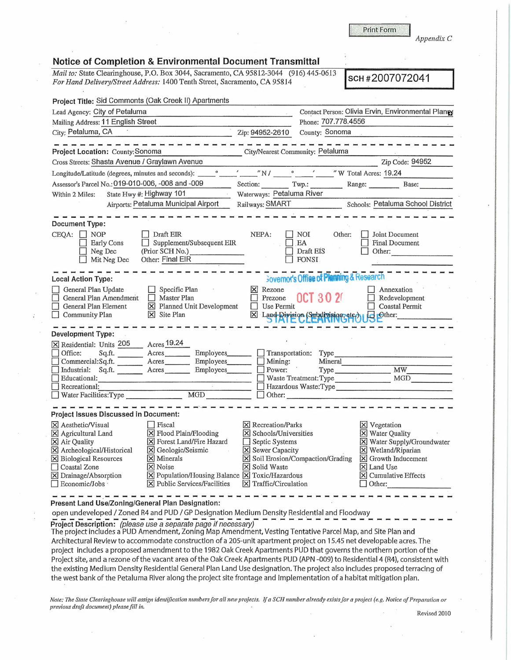**Print Form** 

*Appendix C* 

|                                                                                                                                                                              | Notice of Completion & Environmental Document Transmittal<br>Mail to: State Clearinghouse, P.O. Box 3044, Sacramento, CA 95812-3044 (916) 445-0613                                                                                   |                                                                                                                                                                     |                                                                                                                                                            |
|------------------------------------------------------------------------------------------------------------------------------------------------------------------------------|--------------------------------------------------------------------------------------------------------------------------------------------------------------------------------------------------------------------------------------|---------------------------------------------------------------------------------------------------------------------------------------------------------------------|------------------------------------------------------------------------------------------------------------------------------------------------------------|
|                                                                                                                                                                              | For Hand Delivery/Street Address: 1400 Tenth Street, Sacramento, CA 95814                                                                                                                                                            |                                                                                                                                                                     | sch#2007072041                                                                                                                                             |
| Project Title: Sid Commonts (Oak Creek II) Apartments                                                                                                                        |                                                                                                                                                                                                                                      |                                                                                                                                                                     |                                                                                                                                                            |
| Lead Agency: City of Petaluma                                                                                                                                                | <u>and the company of the second company of the second company of the second company of the second company of the second company of the second company of the second company of the second company of the second company of the </u> |                                                                                                                                                                     | Contact Person: Olivia Ervin, Environmental Planes                                                                                                         |
| Mailing Address: 11 English Street                                                                                                                                           | $\overline{q}$                                                                                                                                                                                                                       |                                                                                                                                                                     | Phone: 707.778.4556                                                                                                                                        |
|                                                                                                                                                                              | City; Petaluma, CA                                                                                                                                                                                                                   | Zip: 94952-2610                                                                                                                                                     | County: Sonoma                                                                                                                                             |
| Project Location: County: Sonoma                                                                                                                                             | --------------------                                                                                                                                                                                                                 | City/Nearest Community: Petaluma                                                                                                                                    |                                                                                                                                                            |
| Cross Streets: Shasta Avenue / Graylawn Avenue                                                                                                                               |                                                                                                                                                                                                                                      |                                                                                                                                                                     | Zip Code: 94952                                                                                                                                            |
|                                                                                                                                                                              |                                                                                                                                                                                                                                      |                                                                                                                                                                     |                                                                                                                                                            |
| Assessor's Parcel No.: 019-010-006, -008 and -009                                                                                                                            | <u> La Branche</u>                                                                                                                                                                                                                   |                                                                                                                                                                     | Section: Twp.: Range: Base: Base:                                                                                                                          |
| Within 2 Miles:                                                                                                                                                              | State Hwy #: Highway 101                                                                                                                                                                                                             | Waterways: Petaluma River                                                                                                                                           |                                                                                                                                                            |
|                                                                                                                                                                              | Airports: Petaluma Municipal Airport                                                                                                                                                                                                 |                                                                                                                                                                     | Railways: SMART Schools: Petaluma School District                                                                                                          |
| Document Type:<br>$CEQA:$ NOP<br><b>Early Cons</b><br>Neg Dec<br>Mit Neg Dec                                                                                                 | Draft EIR<br>$\Box$ Supplement/Subsequent EIR<br>(Prior SCH No.)<br>Other: Final EIR                                                                                                                                                 | NEPA:<br>NOI<br>EA<br>$\sim 10^{11}$<br>Draft EIS<br><b>FONSI</b>                                                                                                   | Other:<br><b>Joint Document</b><br>Final Document<br>Other:                                                                                                |
| <b>Local Action Type:</b><br>General Plan Update<br>General Plan Amendment<br>General Plan Element<br>Community Plan                                                         | $\Box$ Specific Plan<br>$\Box$ Master Plan<br>X Planned Unit Development<br>$\times$ Site Plan                                                                                                                                       | <b>Sovernor's Office of Planning &amp; Research</b><br>X Rezone<br><b>OCT 302</b><br>Prezone<br>$\Box$ Use Permit                                                   | Annexation<br>Redevelopment<br><b>Coastal Permit</b><br>X Land Division (Subdivision etc) US Ether:                                                        |
| <b>Development Type:</b><br><b>College</b><br>X Residential: Units 205<br>Office:<br>Commercial:Sq.ft. _________ Acres________                                               | Acres 19.24<br>Employees________<br>Employees<br>Industrial: Sq.ft. _________ Acres Employees________                                                                                                                                | Transportation: Type<br>$\Box$ Mining:<br>$\mathcal{F} = \{ \mathbf{y} \}$<br>Power:                                                                                | Mineral<br>Type MW_                                                                                                                                        |
|                                                                                                                                                                              | Educational:                                                                                                                                                                                                                         | Waste Treatment: Type                                                                                                                                               | MGD                                                                                                                                                        |
| Recreational:                                                                                                                                                                |                                                                                                                                                                                                                                      |                                                                                                                                                                     | Hazardous Waste:Type<br>Other: $\qquad \qquad \qquad$ Other:                                                                                               |
| Project Issues Discussed in Document:                                                                                                                                        |                                                                                                                                                                                                                                      |                                                                                                                                                                     |                                                                                                                                                            |
| X Aesthetic/Visual<br>X Agricultural Land<br>X Air Quality<br>X Archeological/Historical<br>X Biological Resources<br>Coastal Zone<br>X Drainage/Absorption<br>Economic/Jobs | Fiscal<br>X Flood Plain/Flooding<br>X Forest Land/Fire Hazard<br>X Geologic/Seismic<br>X Minerals<br>X Noise<br>X Population/Housing Balance X Toxic/Hazardous<br>X Public Services/Facilities                                       | $X$ Recreation/Parks<br>X Schools/Universities<br>Septic Systems<br>X Sewer Capacity<br>X Soil Erosion/Compaction/Grading<br>X Solid Waste<br>X Traffic/Circulation | X Vegetation<br>X Water Quality<br>X Water Supply/Groundwater<br>X Wetland/Riparian<br>X Growth Inducement<br>X Land Use<br>X Cumulative Effects<br>Other: |
| Present Land Use/Zoning/General Plan Designation:                                                                                                                            |                                                                                                                                                                                                                                      |                                                                                                                                                                     |                                                                                                                                                            |

open undeveloped / Zoned R4 and PUD / GP Designation Medium Density Residential and Floodway

Project Description: (please use a separate page if necessary)<br>The project includes a PUD Amendment, Zoning Map Amendment, Vesting Tentative Parcel Map, and Site Plan and Architectural Review to accommodate construction of a 205-unit apartment project on 15.45 net developable acres. The project includes a proposed amendment to the 1982 Oak Creek Apartments PUD that governs the northern portion of the Project site, and a rezone of the vacant area of the Oak Creek Apartments PUD {APN -009) to Residential 4 {R4), consistent with the existing Medium Density Residential General Plan Land Use designation. The project also includes proposed terracing of the west bank of the Petaluma River along the project site frontage and implementation of a habitat mitigation plan.

*Note: The State Clearinghouse will assign identification numbers for all new projects. If a SCH number already exists for a project (e.g. Notice of Preparation or* previous draft document) please fill in.

Revised 2010